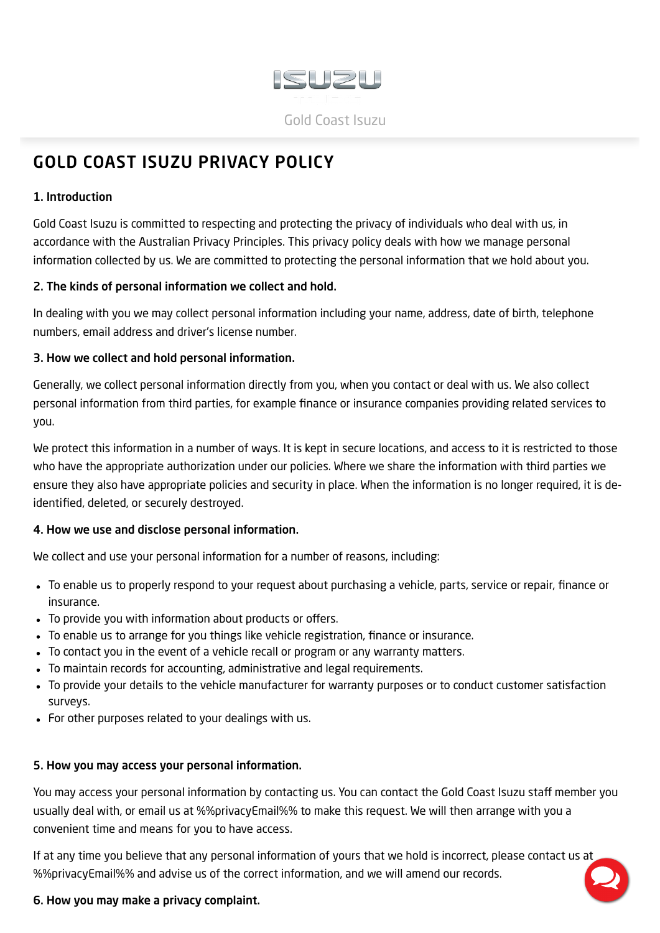

# <span id="page-0-0"></span>GOLD COAST ISUZU PRIVACY POLICY

#### 1. Introduction

Gold Coast Isuzu is committed to respecting and protecting the privacy of individuals who deal with us, in accordance with the Australian Privacy Principles. This privacy policy deals with how we manage personal information collected by us. We are committed to protecting the personal information that we hold about you.

#### 2. The kinds of personal information we collect and hold.

In dealing with you we may collect personal information including your name, address, date of birth, telephone numbers, email address and driver's license number.

#### 3. How we collect and hold personal information.

Generally, we collect personal information directly from you, when you contact or deal with us. We also collect personal information from third parties, for example finance or insurance companies providing related services to you.

We protect this information in a number of ways. It is kept in secure locations, and access to it is restricted to those who have the appropriate authorization under our policies. Where we share the information with third parties we ensure they also have appropriate policies and security in place. When the information is no longer required, it is deidentified, deleted, or securely destroyed.

### 4. How we use and disclose personal information.

We collect and use your personal information for a number of reasons, including:

- To enable us to properly respond to your request about purchasing a vehicle, parts, service or repair, finance or insurance.
- To provide you with information about products or offers.
- To enable us to arrange for you things like vehicle registration, finance or insurance.
- To contact you in the event of a vehicle recall or program or any warranty matters.
- To maintain records for accounting, administrative and legal requirements.
- To provide your details to the vehicle manufacturer for warranty purposes or to conduct customer satisfaction surveys.
- For other purposes related to your dealings with us.

#### 5. How you may access your personal information.

You may access your personal information by contacting us. You can contact the Gold Coast Isuzu staff member you usually deal with, or email us at %%privacyEmail%% to make this request. We will then arrange with you a convenient time and means for you to have access.

If at any time you believe that any personal information of yours that we hold is incorrect, please contact us at %%privacyEmail%% and advise us of the correct information, and we will amend our records.

### 6. How you may make a privacy complaint.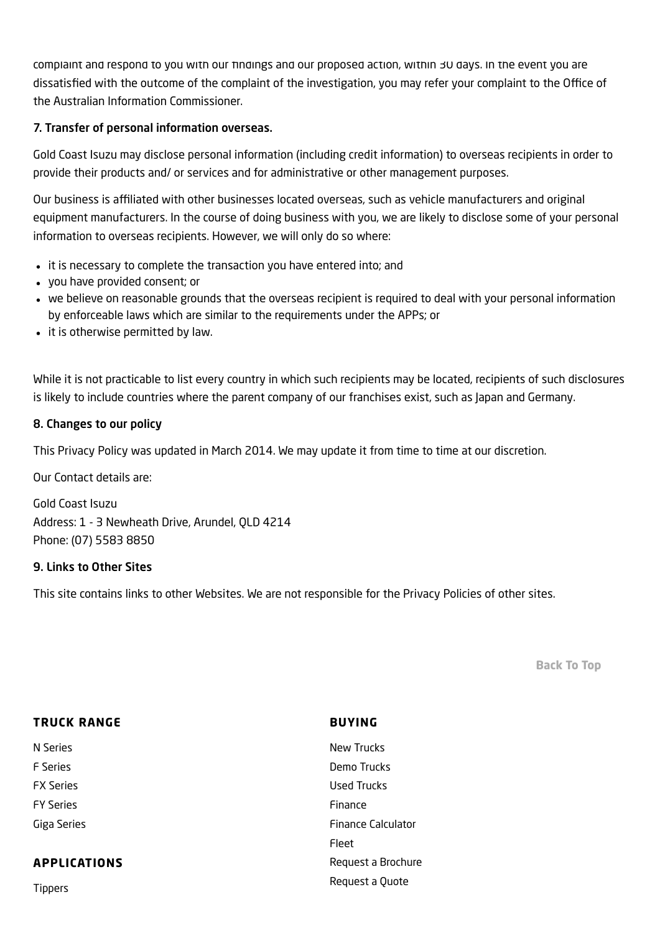complaint and respond to you with our findings and our proposed action, within 30 days. In the event you are dissatisfied with the outcome of the complaint of the investigation, you may refer your complaint to the Office of the Australian Information Commissioner.

#### 7. Transfer of personal information overseas.

Gold Coast Isuzu may disclose personal information (including credit information) to overseas recipients in order to provide their products and/ or services and for administrative or other management purposes.

Our business is affiliated with other businesses located overseas, such as vehicle manufacturers and original equipment manufacturers. In the course of doing business with you, we are likely to disclose some of your personal information to overseas recipients. However, we will only do so where:

- it is necessary to complete the transaction you have entered into; and
- you have provided consent; or
- we believe on reasonable grounds that the overseas recipient is required to deal with your personal information by enforceable laws which are similar to the requirements under the APPs; or
- it is otherwise permitted by law.

While it is not practicable to list every country in which such recipients may be located, recipients of such disclosures is likely to include countries where the parent company of our franchises exist, such as Japan and Germany.

#### 8. Changes to our policy

This Privacy Policy was updated in March 2014. We may update it from time to time at our discretion.

Our Contact details are:

Gold Coast Isuzu Address: 1 - 3 Newheath Drive, Arundel, QLD 4214 Phone: (07) 5583 8850

#### 9. Links to Other Sites

This site contains links to other Websites. We are not responsible for the Privacy Policies of other sites.

[Back](#page-0-0) To Top

| <b>TRUCK RANGE</b>  | <b>BUYING</b>             |
|---------------------|---------------------------|
| N Series            | <b>New Trucks</b>         |
| <b>F</b> Series     | Demo Trucks               |
| <b>FX Series</b>    | <b>Used Trucks</b>        |
| <b>FY Series</b>    | Finance                   |
| Giga Series         | <b>Finance Calculator</b> |
|                     | Fleet                     |
| <b>APPLICATIONS</b> | Request a Brochure        |
| <b>Tippers</b>      | Request a Quote           |